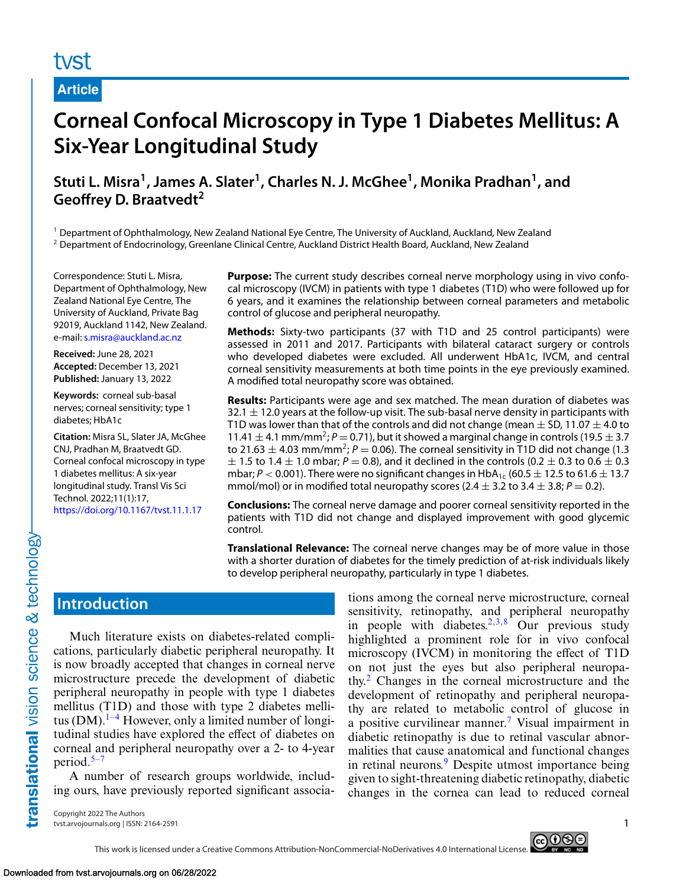# tyst

**Article**

# **Corneal Confocal Microscopy in Type 1 Diabetes Mellitus: A Six-Year Longitudinal Study**

# Stuti L. Misra<sup>1</sup>, James A. Slater<sup>1</sup>, Charles N. J. McGhee<sup>1</sup>, Monika Pradhan<sup>1</sup>, and **Geoffrey D. Braatvedt<sup>2</sup>**

<sup>1</sup> Department of Ophthalmology, New Zealand National Eye Centre, The University of Auckland, Auckland, New Zealand <sup>2</sup> Department of Endocrinology, Greenlane Clinical Centre, Auckland District Health Board, Auckland, New Zealand

Correspondence: Stuti L. Misra, Department of Ophthalmology, New Zealand National Eye Centre, The University of Auckland, Private Bag 92019, Auckland 1142, New Zealand. e-mail: [s.misra@auckland.ac.nz](mailto:s.misra@auckland.ac.nz)

**Received:** June 28, 2021 **Accepted:** December 13, 2021 **Published:** January 13, 2022

**Keywords:** corneal sub-basal nerves; corneal sensitivity; type 1 diabetes; HbA1c

**Citation:** Misra SL, Slater JA, McGhee CNJ, Pradhan M, Braatvedt GD. Corneal confocal microscopy in type 1 diabetes mellitus: A six-year longitudinal study. Transl Vis Sci Technol. 2022;11(1):17, <https://doi.org/10.1167/tvst.11.1.17>

**Purpose:** The current study describes corneal nerve morphology using in vivo confocal microscopy (IVCM) in patients with type 1 diabetes (T1D) who were followed up for 6 years, and it examines the relationship between corneal parameters and metabolic control of glucose and peripheral neuropathy.

**Methods:** Sixty-two participants (37 with T1D and 25 control participants) were assessed in 2011 and 2017. Participants with bilateral cataract surgery or controls who developed diabetes were excluded. All underwent HbA1c, IVCM, and central corneal sensitivity measurements at both time points in the eye previously examined. A modified total neuropathy score was obtained.

**Results:** Participants were age and sex matched. The mean duration of diabetes was 32.1  $\pm$  12.0 years at the follow-up visit. The sub-basal nerve density in participants with T1D was lower than that of the controls and did not change (mean  $\pm$  SD, 11.07  $\pm$  4.0 to 11.41  $\pm$  4.1 mm/mm<sup>2</sup>;  $P = 0.71$ ), but it showed a marginal change in controls (19.5  $\pm$  3.7 to 21.63  $\pm$  4.03 mm/mm<sup>2</sup>; *P* = 0.06). The corneal sensitivity in T1D did not change (1.3)  $\pm$  1.5 to 1.4  $\pm$  1.0 mbar; *P* = 0.8), and it declined in the controls (0.2  $\pm$  0.3 to 0.6  $\pm$  0.3 mbar;  $P < 0.001$ ). There were no significant changes in HbA<sub>1c</sub> (60.5  $\pm$  12.5 to 61.6  $\pm$  13.7 mmol/mol) or in modified total neuropathy scores  $(2.4 \pm 3.2 \text{ to } 3.4 \pm 3.8; P = 0.2)$ .

**Conclusions:** The corneal nerve damage and poorer corneal sensitivity reported in the patients with T1D did not change and displayed improvement with good glycemic control.

**Translational Relevance:** The corneal nerve changes may be of more value in those with a shorter duration of diabetes for the timely prediction of at-risk individuals likely to develop peripheral neuropathy, particularly in type 1 diabetes.

# **Introduction**

translational vision science & technology-

Much literature exists on diabetes-related complications, particularly diabetic peripheral neuropathy. It is now broadly accepted that changes in corneal nerve microstructure precede the development of diabetic peripheral neuropathy in people with type 1 diabetes mellitus (T1D) and those with type 2 diabetes mellitus  $(DM)$ .<sup>[1–4](#page-5-0)</sup> However, only a limited number of longitudinal studies have explored the effect of diabetes on corneal and peripheral neuropathy over a 2- to 4-year period.[5–7](#page-5-0)

A number of research groups worldwide, including ours, have previously reported significant associa-

tions among the corneal nerve microstructure, corneal sensitivity, retinopathy, and peripheral neuropathy in people with diabetes.<sup>2,3,8</sup> Our previous study highlighted a prominent role for in vivo confocal microscopy (IVCM) in monitoring the effect of T1D on not just the eyes but also peripheral neuropathy.[2](#page-5-0) Changes in the corneal microstructure and the development of retinopathy and peripheral neuropathy are related to metabolic control of glucose in a positive curvilinear manner.[7](#page-5-0) Visual impairment in diabetic retinopathy is due to retinal vascular abnormalities that cause anatomical and functional changes in retinal neurons.<sup>9</sup> Despite utmost importance being given to sight-threatening diabetic retinopathy, diabetic changes in the cornea can lead to reduced corneal

Copyright 2022 The Authors tvst.arvojournals.org | ISSN: 2164-2591 1

ெ®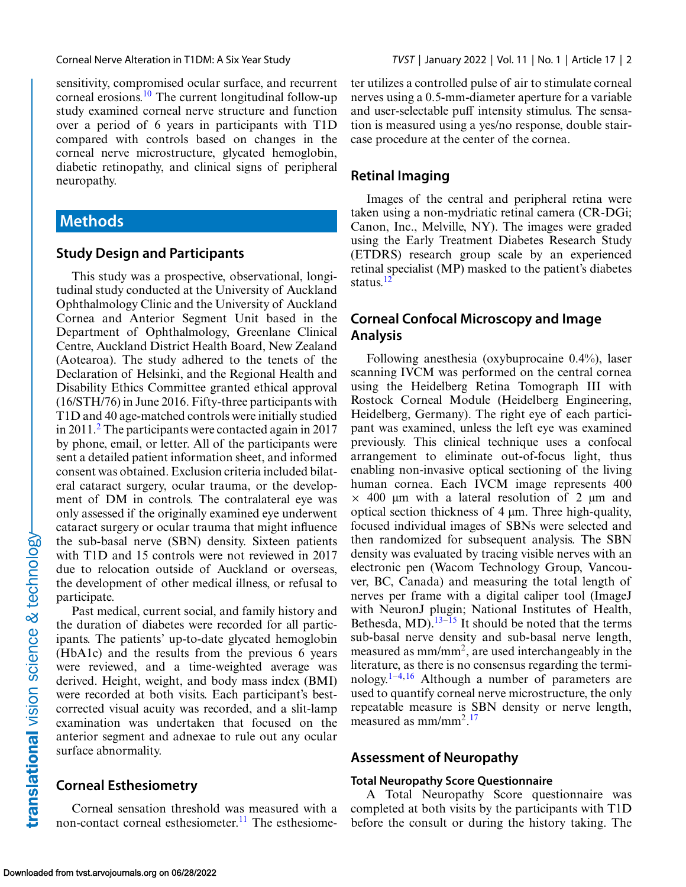sensitivity, compromised ocular surface, and recurrent corneal erosions.<sup>[10](#page-5-0)</sup> The current longitudinal follow-up study examined corneal nerve structure and function over a period of 6 years in participants with T1D compared with controls based on changes in the corneal nerve microstructure, glycated hemoglobin, diabetic retinopathy, and clinical signs of peripheral neuropathy.

### **Methods**

#### **Study Design and Participants**

This study was a prospective, observational, longitudinal study conducted at the University of Auckland Ophthalmology Clinic and the University of Auckland Cornea and Anterior Segment Unit based in the Department of Ophthalmology, Greenlane Clinical Centre, Auckland District Health Board, New Zealand (Aotearoa). The study adhered to the tenets of the Declaration of Helsinki, and the Regional Health and Disability Ethics Committee granted ethical approval (16/STH/76) in June 2016. Fifty-three participants with T1D and 40 age-matched controls were initially studied in 2011.[2](#page-5-0) The participants were contacted again in 2017 by phone, email, or letter. All of the participants were sent a detailed patient information sheet, and informed consent was obtained. Exclusion criteria included bilateral cataract surgery, ocular trauma, or the development of DM in controls. The contralateral eye was only assessed if the originally examined eye underwent cataract surgery or ocular trauma that might influence the sub-basal nerve (SBN) density. Sixteen patients with T1D and 15 controls were not reviewed in 2017 due to relocation outside of Auckland or overseas, the development of other medical illness, or refusal to participate.

Past medical, current social, and family history and the duration of diabetes were recorded for all participants. The patients' up-to-date glycated hemoglobin (HbA1c) and the results from the previous 6 years were reviewed, and a time-weighted average was derived. Height, weight, and body mass index (BMI) were recorded at both visits. Each participant's bestcorrected visual acuity was recorded, and a slit-lamp examination was undertaken that focused on the anterior segment and adnexae to rule out any ocular surface abnormality.

#### **Corneal Esthesiometry**

Corneal sensation threshold was measured with a non-contact corneal esthesiometer.<sup>[11](#page-5-0)</sup> The esthesiometer utilizes a controlled pulse of air to stimulate corneal nerves using a 0.5-mm-diameter aperture for a variable and user-selectable puff intensity stimulus. The sensation is measured using a yes/no response, double staircase procedure at the center of the cornea.

### **Retinal Imaging**

Images of the central and peripheral retina were taken using a non-mydriatic retinal camera (CR-DGi; Canon, Inc., Melville, NY). The images were graded using the Early Treatment Diabetes Research Study (ETDRS) research group scale by an experienced retinal specialist (MP) masked to the patient's diabetes status.<sup>12</sup>

### **Corneal Confocal Microscopy and Image Analysis**

Following anesthesia (oxybuprocaine 0.4%), laser scanning IVCM was performed on the central cornea using the Heidelberg Retina Tomograph III with Rostock Corneal Module (Heidelberg Engineering, Heidelberg, Germany). The right eye of each participant was examined, unless the left eye was examined previously. This clinical technique uses a confocal arrangement to eliminate out-of-focus light, thus enabling non-invasive optical sectioning of the living human cornea. Each IVCM image represents 400  $\times$  400 μm with a lateral resolution of 2 μm and optical section thickness of 4 μm. Three high-quality, focused individual images of SBNs were selected and then randomized for subsequent analysis. The SBN density was evaluated by tracing visible nerves with an electronic pen (Wacom Technology Group, Vancouver, BC, Canada) and measuring the total length of nerves per frame with a digital caliper tool (ImageJ with NeuronJ plugin; National Institutes of Health, Bethesda, MD). $13-15$  It should be noted that the terms sub-basal nerve density and sub-basal nerve length, measured as  $mm/mm^2$ , are used interchangeably in the literature, as there is no consensus regarding the termi-nology.<sup>[1–4,](#page-5-0)[16](#page-6-0)</sup> Although a number of parameters are used to quantify corneal nerve microstructure, the only repeatable measure is SBN density or nerve length, measured as mm/mm<sup>2</sup>.<sup>[17](#page-6-0)</sup>

### **Assessment of Neuropathy**

#### **Total Neuropathy Score Questionnaire**

A Total Neuropathy Score questionnaire was completed at both visits by the participants with T1D before the consult or during the history taking. The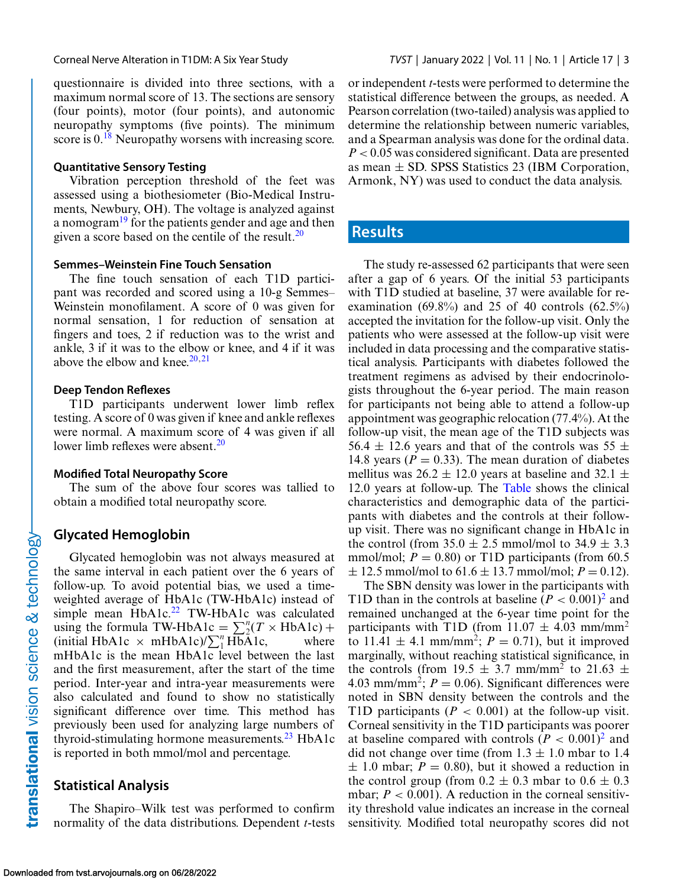questionnaire is divided into three sections, with a maximum normal score of 13. The sections are sensory (four points), motor (four points), and autonomic neuropathy symptoms (five points). The minimum score is  $0.18$  $0.18$  Neuropathy worsens with increasing score.

#### **Quantitative Sensory Testing**

Vibration perception threshold of the feet was assessed using a biothesiometer (Bio-Medical Instruments, Newbury, OH). The voltage is analyzed against a nomogra[m19](#page-6-0) for the patients gender and age and then given a score based on the centile of the result. $^{20}$ 

#### **Semmes–Weinstein Fine Touch Sensation**

The fine touch sensation of each T1D participant was recorded and scored using a 10-g Semmes– Weinstein monofilament. A score of 0 was given for normal sensation, 1 for reduction of sensation at fingers and toes, 2 if reduction was to the wrist and ankle, 3 if it was to the elbow or knee, and 4 if it was above the elbow and knee. $20,21$ 

#### **Deep Tendon Reflexes**

T1D participants underwent lower limb reflex testing. A score of 0 was given if knee and ankle reflexes were normal. A maximum score of 4 was given if all lower limb reflexes were absent. $20$ 

#### **Modified Total Neuropathy Score**

The sum of the above four scores was tallied to obtain a modified total neuropathy score.

#### **Glycated Hemoglobin**

translational vision science & technology-

Glycated hemoglobin was not always measured at the same interval in each patient over the 6 years of follow-up. To avoid potential bias, we used a timeweighted average of HbA1c (TW-HbA1c) instead of simple mean  $HbA1c<sup>22</sup>$  TW-HbA1c was calculated using the formula TW-HbA1c =  $\sum_{i=1}^{n} (T \times \text{HbA1c}) +$  $(\text{initial HbA1c} \times \text{mHbA1c})/\sum_{1}^{n} \widetilde{\text{HbA1c}}$ , where mHbA1c is the mean HbA1c level between the last and the first measurement, after the start of the time period. Inter-year and intra-year measurements were also calculated and found to show no statistically significant difference over time. This method has previously been used for analyzing large numbers of thyroid-stimulating hormone measurements[.23](#page-6-0) HbA1c is reported in both mmol/mol and percentage.

#### **Statistical Analysis**

The Shapiro–Wilk test was performed to confirm normality of the data distributions. Dependent *t*-tests or independent *t*-tests were performed to determine the statistical difference between the groups, as needed. A Pearson correlation (two-tailed) analysis was applied to determine the relationship between numeric variables, and a Spearman analysis was done for the ordinal data. *P* < 0.05 was considered significant. Data are presented as mean  $\pm$  SD. SPSS Statistics 23 (IBM Corporation, Armonk, NY) was used to conduct the data analysis.

### **Results**

The study re-assessed 62 participants that were seen after a gap of 6 years. Of the initial 53 participants with T1D studied at baseline, 37 were available for reexamination (69.8%) and 25 of 40 controls (62.5%) accepted the invitation for the follow-up visit. Only the patients who were assessed at the follow-up visit were included in data processing and the comparative statistical analysis. Participants with diabetes followed the treatment regimens as advised by their endocrinologists throughout the 6-year period. The main reason for participants not being able to attend a follow-up appointment was geographic relocation (77.4%). At the follow-up visit, the mean age of the T1D subjects was 56.4  $\pm$  12.6 years and that of the controls was 55  $\pm$ 14.8 years ( $P = 0.33$ ). The mean duration of diabetes mellitus was  $26.2 \pm 12.0$  years at baseline and 32.1  $\pm$ 12.0 years at follow-up. The [Table](#page-3-0) shows the clinical characteristics and demographic data of the participants with diabetes and the controls at their followup visit. There was no significant change in HbA1c in the control (from  $35.0 \pm 2.5$  mmol/mol to  $34.9 \pm 3.3$ mmol/mol;  $P = 0.80$ ) or T1D participants (from 60.5)  $\pm$  12.5 mmol/mol to 61.6  $\pm$  13.7 mmol/mol; *P* = 0.12).

The SBN density was lower in the participants with T1D than in the controls at baseline  $(P < 0.001)^2$  and remained unchanged at the 6-year time point for the participants with T1D (from  $11.07 \pm 4.03$  mm/mm<sup>2</sup> to 11.41  $\pm$  4.1 mm/mm<sup>2</sup>; *P* = 0.71), but it improved marginally, without reaching statistical significance, in the controls (from 19.5  $\pm$  3.7 mm/mm<sup>2</sup> to 21.63  $\pm$ 4.03 mm/mm<sup>2</sup>;  $P = 0.06$ ). Significant differences were noted in SBN density between the controls and the T1D participants  $(P < 0.001)$  at the follow-up visit. Corneal sensitivity in the T1D participants was poorer at baseline compared with controls  $(P < 0.001)^2$  and did not change over time (from  $1.3 \pm 1.0$  mbar to 1.4  $\pm$  1.0 mbar;  $P = 0.80$ ), but it showed a reduction in the control group (from  $0.2 \pm 0.3$  mbar to  $0.6 \pm 0.3$ mbar;  $P < 0.001$ ). A reduction in the corneal sensitivity threshold value indicates an increase in the corneal sensitivity. Modified total neuropathy scores did not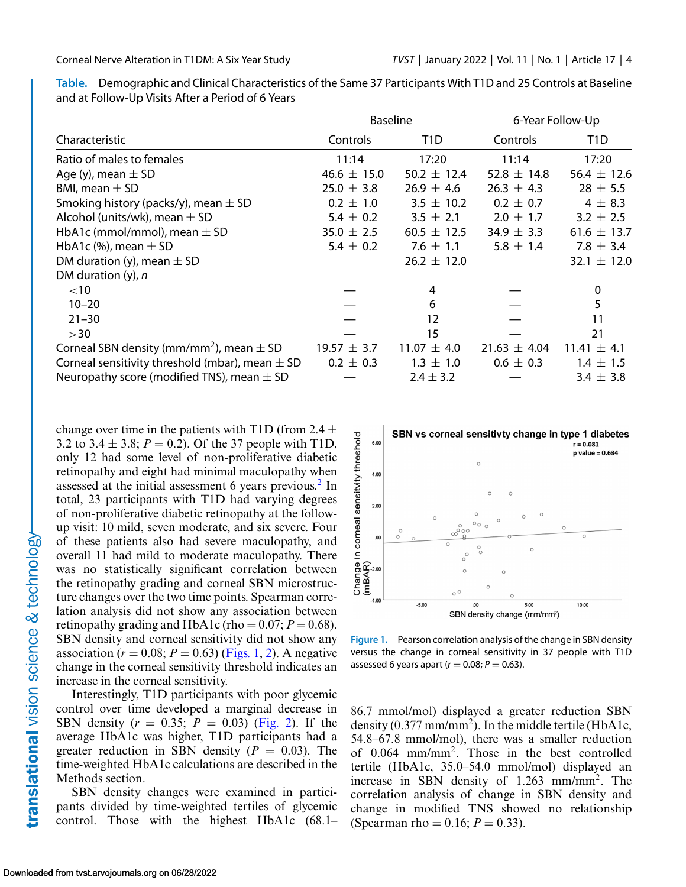<span id="page-3-0"></span>**Table.** Demographic and Clinical Characteristics of the Same 37 Participants With T1D and 25 Controls at Baseline and at Follow-Up Visits After a Period of 6 Years

|                                                          | <b>Baseline</b> |                 | 6-Year Follow-Up |                  |
|----------------------------------------------------------|-----------------|-----------------|------------------|------------------|
| Characteristic                                           | Controls        | T1D             | Controls         | T <sub>1</sub> D |
| Ratio of males to females                                | 11:14           | 17:20           | 11:14            | 17:20            |
| Age (y), mean $\pm$ SD                                   | 46.6 $\pm$ 15.0 | 50.2 $\pm$ 12.4 | 52.8 $\pm$ 14.8  | 56.4 $\pm$ 12.6  |
| BMI, mean $\pm$ SD                                       | $25.0 \pm 3.8$  | $26.9 \pm 4.6$  | $26.3 \pm 4.3$   | $28 \pm 5.5$     |
| Smoking history (packs/y), mean $\pm$ SD                 | $0.2 \pm 1.0$   | $3.5 \pm 10.2$  | $0.2 \pm 0.7$    | $4 \pm 8.3$      |
| Alcohol (units/wk), mean $\pm$ SD                        | 5.4 $\pm$ 0.2   | $3.5 \pm 2.1$   | $2.0 \pm 1.7$    | $3.2 \pm 2.5$    |
| HbA1c (mmol/mmol), mean $\pm$ SD                         | $35.0 \pm 2.5$  | $60.5 \pm 12.5$ | 34.9 $\pm$ 3.3   | $61.6 \pm 13.7$  |
| HbA1c (%), mean $\pm$ SD                                 | 5.4 $\pm$ 0.2   | 7.6 $\pm$ 1.1   | $5.8 \pm 1.4$    | 7.8 $\pm$ 3.4    |
| DM duration (y), mean $\pm$ SD                           |                 | $26.2 \pm 12.0$ |                  | 32.1 $\pm$ 12.0  |
| DM duration $(y)$ , n                                    |                 |                 |                  |                  |
| $<$ 10                                                   |                 | 4               |                  | 0                |
| $10 - 20$                                                |                 | 6               |                  | 5                |
| $21 - 30$                                                |                 | 12              |                  | 11               |
| >30                                                      |                 | 15              |                  | 21               |
| Corneal SBN density (mm/mm <sup>2</sup> ), mean $\pm$ SD | $19.57 \pm 3.7$ | $11.07 \pm 4.0$ | $21.63 \pm 4.04$ | $11.41 \pm 4.1$  |
| Corneal sensitivity threshold (mbar), mean $\pm$ SD      | $0.2 \pm 0.3$   | $1.3 \pm 1.0$   | $0.6 \pm 0.3$    | $1.4 \pm 1.5$    |
| Neuropathy score (modified TNS), mean $\pm$ SD           |                 | $2.4 \pm 3.2$   |                  | $3.4 \pm 3.8$    |

change over time in the patients with T1D (from 2.4  $\pm$ 3.2 to 3.4  $\pm$  3.8; *P* = 0.2). Of the 37 people with T1D, only 12 had some level of non-proliferative diabetic retinopathy and eight had minimal maculopathy when assessed at the initial assessment 6 years previous.<sup>2</sup> In total, 23 participants with T1D had varying degrees of non-proliferative diabetic retinopathy at the followup visit: 10 mild, seven moderate, and six severe. Four of these patients also had severe maculopathy, and overall 11 had mild to moderate maculopathy. There was no statistically significant correlation between the retinopathy grading and corneal SBN microstructure changes over the two time points. Spearman correlation analysis did not show any association between retinopathy grading and HbA1c (rho =  $0.07$ ;  $P = 0.68$ ). SBN density and corneal sensitivity did not show any association ( $r = 0.08$ ;  $P = 0.63$ ) (Figs. 1, [2\)](#page-4-0). A negative change in the corneal sensitivity threshold indicates an increase in the corneal sensitivity.

Interestingly, T1D participants with poor glycemic control over time developed a marginal decrease in SBN density  $(r = 0.35; P = 0.03)$  [\(Fig. 2\)](#page-4-0). If the average HbA1c was higher, T1D participants had a greater reduction in SBN density  $(P = 0.03)$ . The time-weighted HbA1c calculations are described in the Methods section.

SBN density changes were examined in participants divided by time-weighted tertiles of glycemic control. Those with the highest HbA1c (68.1–



**Figure 1.** Pearson correlation analysis of the change in SBN density versus the change in corneal sensitivity in 37 people with T1D assessed 6 years apart ( $r = 0.08; P = 0.63$ ).

86.7 mmol/mol) displayed a greater reduction SBN density  $(0.377 \text{ mm/mm}^2)$ . In the middle tertile (HbA1c, 54.8–67.8 mmol/mol), there was a smaller reduction of 0.064 mm/mm2. Those in the best controlled tertile (HbA1c, 35.0–54.0 mmol/mol) displayed an increase in SBN density of 1.263 mm/mm<sup>2</sup>. The correlation analysis of change in SBN density and change in modified TNS showed no relationship (Spearman rho =  $0.16$ ;  $P = 0.33$ ).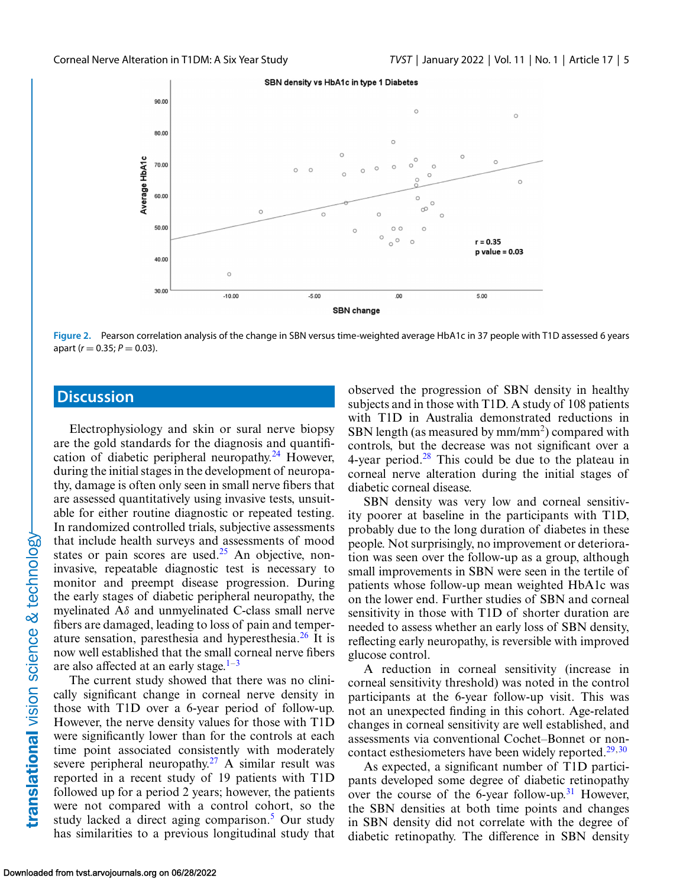<span id="page-4-0"></span>

**Figure 2.** Pearson correlation analysis of the change in SBN versus time-weighted average HbA1c in 37 people with T1D assessed 6 years apart ( $r = 0.35; P = 0.03$ ).

## **Discussion**

Electrophysiology and skin or sural nerve biopsy are the gold standards for the diagnosis and quantification of diabetic peripheral neuropathy. $24$  However, during the initial stages in the development of neuropathy, damage is often only seen in small nerve fibers that are assessed quantitatively using invasive tests, unsuitable for either routine diagnostic or repeated testing. In randomized controlled trials, subjective assessments that include health surveys and assessments of mood states or pain scores are used. $25$  An objective, noninvasive, repeatable diagnostic test is necessary to monitor and preempt disease progression. During the early stages of diabetic peripheral neuropathy, the myelinated  $A\delta$  and unmyelinated C-class small nerve fibers are damaged, leading to loss of pain and temperature sensation, paresthesia and hyperesthesia. $^{26}$  $^{26}$  $^{26}$  It is now well established that the small corneal nerve fibers are also affected at an early stage. $1-3$ 

The current study showed that there was no clinically significant change in corneal nerve density in those with T1D over a 6-year period of follow-up. However, the nerve density values for those with T1D were significantly lower than for the controls at each time point associated consistently with moderately severe peripheral neuropathy.<sup>27</sup> A similar result was reported in a recent study of 19 patients with T1D followed up for a period 2 years; however, the patients were not compared with a control cohort, so the study lacked a direct aging comparison. $5$  Our study has similarities to a previous longitudinal study that

observed the progression of SBN density in healthy subjects and in those with T1D. A study of 108 patients with T1D in Australia demonstrated reductions in SBN length (as measured by  $mm/mm^2$ ) compared with controls, but the decrease was not significant over a 4-year period. $28$  This could be due to the plateau in corneal nerve alteration during the initial stages of diabetic corneal disease.

SBN density was very low and corneal sensitivity poorer at baseline in the participants with T1D, probably due to the long duration of diabetes in these people. Not surprisingly, no improvement or deterioration was seen over the follow-up as a group, although small improvements in SBN were seen in the tertile of patients whose follow-up mean weighted HbA1c was on the lower end. Further studies of SBN and corneal sensitivity in those with T1D of shorter duration are needed to assess whether an early loss of SBN density, reflecting early neuropathy, is reversible with improved glucose control.

A reduction in corneal sensitivity (increase in corneal sensitivity threshold) was noted in the control participants at the 6-year follow-up visit. This was not an unexpected finding in this cohort. Age-related changes in corneal sensitivity are well established, and assessments via conventional Cochet–Bonnet or noncontact esthesiometers have been widely reported. $29,30$ 

As expected, a significant number of T1D participants developed some degree of diabetic retinopathy over the course of the 6-year follow-up.<sup>31</sup> However, the SBN densities at both time points and changes in SBN density did not correlate with the degree of diabetic retinopathy. The difference in SBN density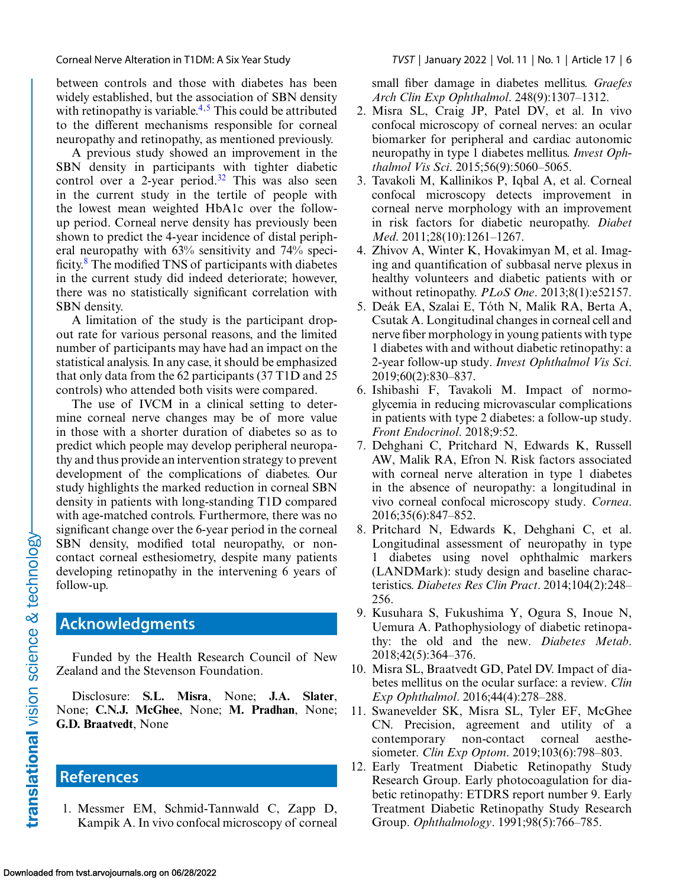<span id="page-5-0"></span>between controls and those with diabetes has been widely established, but the association of SBN density with retinopathy is variable. $4.5$  This could be attributed to the different mechanisms responsible for corneal neuropathy and retinopathy, as mentioned previously.

A previous study showed an improvement in the SBN density in participants with tighter diabetic control over a 2-year period. $32$  This was also seen in the current study in the tertile of people with the lowest mean weighted HbA1c over the followup period. Corneal nerve density has previously been shown to predict the 4-year incidence of distal peripheral neuropathy with 63% sensitivity and 74% specificity.8 The modified TNS of participants with diabetes in the current study did indeed deteriorate; however, there was no statistically significant correlation with SBN density.

A limitation of the study is the participant dropout rate for various personal reasons, and the limited number of participants may have had an impact on the statistical analysis. In any case, it should be emphasized that only data from the 62 participants (37 T1D and 25 controls) who attended both visits were compared.

The use of IVCM in a clinical setting to determine corneal nerve changes may be of more value in those with a shorter duration of diabetes so as to predict which people may develop peripheral neuropathy and thus provide an intervention strategy to prevent development of the complications of diabetes. Our study highlights the marked reduction in corneal SBN density in patients with long-standing T1D compared with age-matched controls. Furthermore, there was no significant change over the 6-year period in the corneal SBN density, modified total neuropathy, or noncontact corneal esthesiometry, despite many patients developing retinopathy in the intervening 6 years of follow-up.

## **Acknowledgments**

Funded by the Health Research Council of New Zealand and the Stevenson Foundation.

Disclosure: **S.L. Misra**, None; **J.A. Slater**, None; **C.N.J. McGhee**, None; **M. Pradhan**, None; **G.D. Braatvedt**, None

# **References**

1. Messmer EM, Schmid-Tannwald C, Zapp D, Kampik A. In vivo confocal microscopy of corneal small fiber damage in diabetes mellitus. *Graefes Arch Clin Exp Ophthalmol*. 248(9):1307–1312.

- 2. Misra SL, Craig JP, Patel DV, et al. In vivo confocal microscopy of corneal nerves: an ocular biomarker for peripheral and cardiac autonomic neuropathy in type 1 diabetes mellitus. *Invest Ophthalmol Vis Sci*. 2015;56(9):5060–5065.
- 3. Tavakoli M, Kallinikos P, Iqbal A, et al. Corneal confocal microscopy detects improvement in corneal nerve morphology with an improvement in risk factors for diabetic neuropathy. *Diabet Med*. 2011;28(10):1261–1267.
- 4. Zhivov A, Winter K, Hovakimyan M, et al. Imaging and quantification of subbasal nerve plexus in healthy volunteers and diabetic patients with or without retinopathy. *PLoS One*. 2013;8(1):e52157.
- 5. Deák EA, Szalai E, Tóth N, Malik RA, Berta A, Csutak A. Longitudinal changes in corneal cell and nerve fiber morphology in young patients with type 1 diabetes with and without diabetic retinopathy: a 2-year follow-up study. *Invest Ophthalmol Vis Sci*. 2019;60(2):830–837.
- 6. Ishibashi F, Tavakoli M. Impact of normoglycemia in reducing microvascular complications in patients with type 2 diabetes: a follow-up study. *Front Endocrinol*. 2018;9:52.
- 7. Dehghani C, Pritchard N, Edwards K, Russell AW, Malik RA, Efron N. Risk factors associated with corneal nerve alteration in type 1 diabetes in the absence of neuropathy: a longitudinal in vivo corneal confocal microscopy study. *Cornea*. 2016;35(6):847–852.
- 8. Pritchard N, Edwards K, Dehghani C, et al. Longitudinal assessment of neuropathy in type 1 diabetes using novel ophthalmic markers (LANDMark): study design and baseline characteristics. *Diabetes Res Clin Pract*. 2014;104(2):248– 256.
- 9. Kusuhara S, Fukushima Y, Ogura S, Inoue N, Uemura A. Pathophysiology of diabetic retinopathy: the old and the new. *Diabetes Metab*. 2018;42(5):364–376.
- 10. Misra SL, Braatvedt GD, Patel DV. Impact of diabetes mellitus on the ocular surface: a review. *Clin Exp Ophthalmol*. 2016;44(4):278–288.
- 11. Swanevelder SK, Misra SL, Tyler EF, McGhee CN. Precision, agreement and utility of a contemporary non-contact corneal aesthesiometer. *Clin Exp Optom*. 2019;103(6):798–803.
- 12. Early Treatment Diabetic Retinopathy Study Research Group. Early photocoagulation for diabetic retinopathy: ETDRS report number 9. Early Treatment Diabetic Retinopathy Study Research Group. *Ophthalmology*. 1991;98(5):766–785.